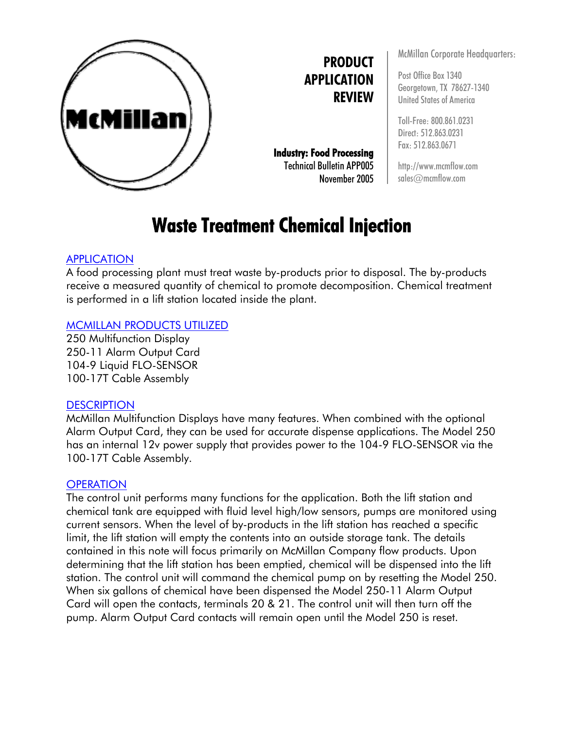

**PRODUCT APPLICATION REVIEW**

**Industry: Food Processing**  Technical Bulletin APP005 November 2005 McMillan Corporate Headquarters:

Post Office Box 1340 Georgetown, TX 78627-1340 United States of America

Toll-Free: 800.861.0231 Direct: 512.863.0231 Fax: 512.863.0671

http://www.mcmflow.com sales@mcmflow.com

# **Waste Treatment Chemical Injection**

# APPLICATION

A food processing plant must treat waste by-products prior to disposal. The by-products receive a measured quantity of chemical to promote decomposition. Chemical treatment is performed in a lift station located inside the plant.

## MCMILLAN PRODUCTS UTILIZED

250 Multifunction Display 250-11 Alarm Output Card 104-9 Liquid FLO-SENSOR 100-17T Cable Assembly

### **DESCRIPTION**

McMillan Multifunction Displays have many features. When combined with the optional Alarm Output Card, they can be used for accurate dispense applications. The Model 250 has an internal 12v power supply that provides power to the 104-9 FLO-SENSOR via the 100-17T Cable Assembly.

### **OPERATION**

The control unit performs many functions for the application. Both the lift station and chemical tank are equipped with fluid level high/low sensors, pumps are monitored using current sensors. When the level of by-products in the lift station has reached a specific limit, the lift station will empty the contents into an outside storage tank. The details contained in this note will focus primarily on McMillan Company flow products. Upon determining that the lift station has been emptied, chemical will be dispensed into the lift station. The control unit will command the chemical pump on by resetting the Model 250. When six gallons of chemical have been dispensed the Model 250-11 Alarm Output Card will open the contacts, terminals 20 & 21. The control unit will then turn off the pump. Alarm Output Card contacts will remain open until the Model 250 is reset.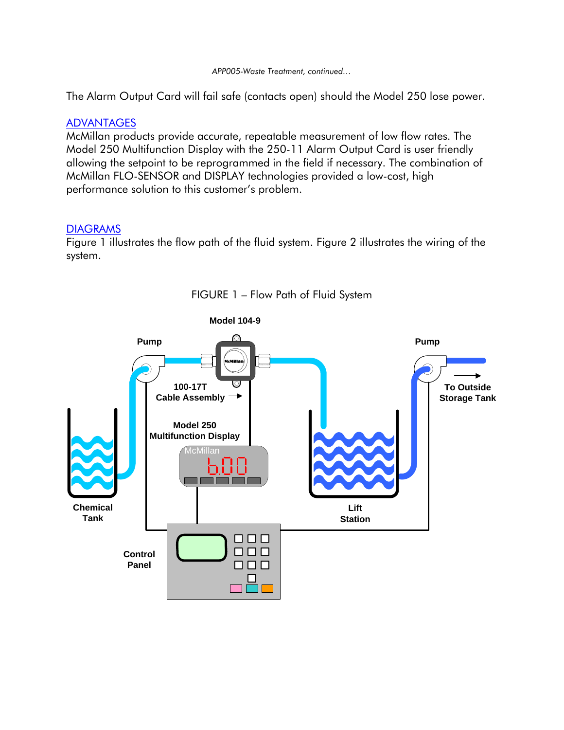#### *APP005-Waste Treatment, continued…*

The Alarm Output Card will fail safe (contacts open) should the Model 250 lose power.

#### ADVANTAGES

McMillan products provide accurate, repeatable measurement of low flow rates. The Model 250 Multifunction Display with the 250-11 Alarm Output Card is user friendly allowing the setpoint to be reprogrammed in the field if necessary. The combination of McMillan FLO-SENSOR and DISPLAY technologies provided a low-cost, high performance solution to this customer's problem.

#### DIAGRAMS

Figure 1 illustrates the flow path of the fluid system. Figure 2 illustrates the wiring of the system.



FIGURE 1 – Flow Path of Fluid System